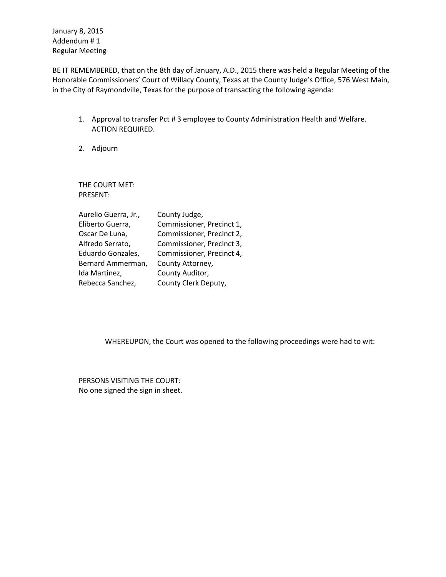January 8, 2015 Addendum # 1 Regular Meeting

BE IT REMEMBERED, that on the 8th day of January, A.D., 2015 there was held a Regular Meeting of the Honorable Commissioners' Court of Willacy County, Texas at the County Judge's Office, 576 West Main, in the City of Raymondville, Texas for the purpose of transacting the following agenda:

- 1. Approval to transfer Pct # 3 employee to County Administration Health and Welfare. ACTION REQUIRED.
- 2. Adjourn

THE COURT MET: PRESENT:

| County Judge,             |
|---------------------------|
| Commissioner, Precinct 1, |
| Commissioner, Precinct 2, |
| Commissioner, Precinct 3, |
| Commissioner, Precinct 4, |
| County Attorney,          |
| County Auditor,           |
| County Clerk Deputy,      |
|                           |

WHEREUPON, the Court was opened to the following proceedings were had to wit:

PERSONS VISITING THE COURT: No one signed the sign in sheet.